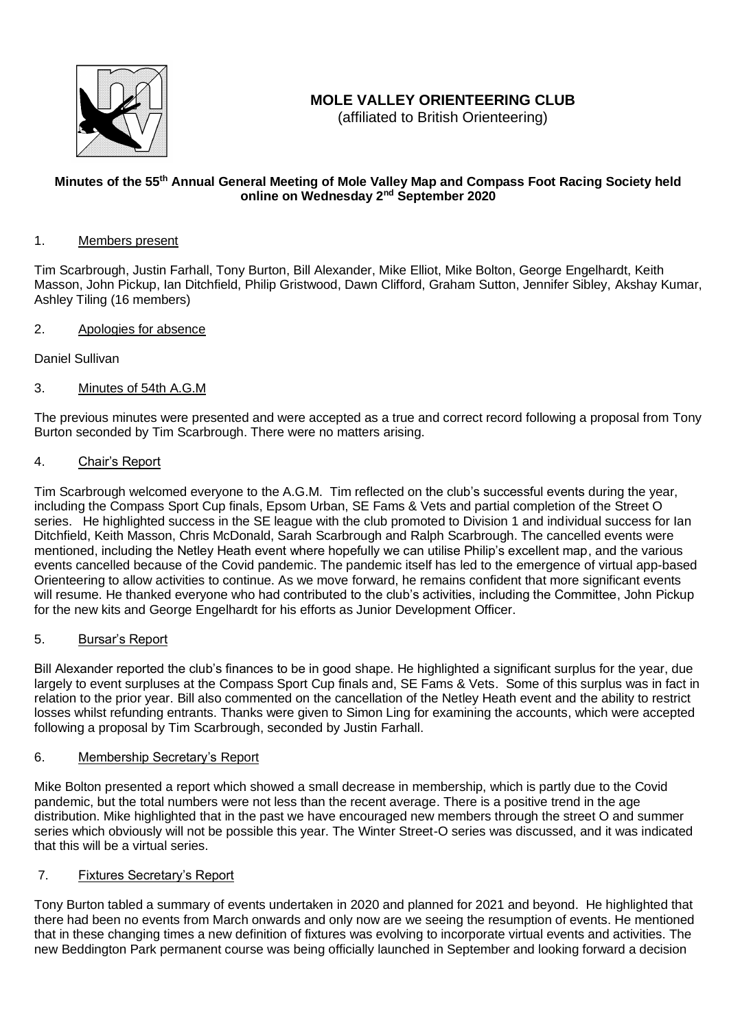

# **MOLE VALLEY ORIENTEERING CLUB**

(affiliated to British Orienteering)

# **Minutes of the 55th Annual General Meeting of Mole Valley Map and Compass Foot Racing Society held online on Wednesday 2nd September 2020**

## 1. Members present

Tim Scarbrough, Justin Farhall, Tony Burton, Bill Alexander, Mike Elliot, Mike Bolton, George Engelhardt, Keith Masson, John Pickup, Ian Ditchfield, Philip Gristwood, Dawn Clifford, Graham Sutton, Jennifer Sibley, Akshay Kumar, Ashley Tiling (16 members)

# 2. Apologies for absence

Daniel Sullivan

# 3. Minutes of 54th A.G.M

The previous minutes were presented and were accepted as a true and correct record following a proposal from Tony Burton seconded by Tim Scarbrough. There were no matters arising.

## 4. Chair's Report

Tim Scarbrough welcomed everyone to the A.G.M. Tim reflected on the club's successful events during the year, including the Compass Sport Cup finals, Epsom Urban, SE Fams & Vets and partial completion of the Street O series. He highlighted success in the SE league with the club promoted to Division 1 and individual success for Ian Ditchfield, Keith Masson, Chris McDonald, Sarah Scarbrough and Ralph Scarbrough. The cancelled events were mentioned, including the Netley Heath event where hopefully we can utilise Philip's excellent map, and the various events cancelled because of the Covid pandemic. The pandemic itself has led to the emergence of virtual app-based Orienteering to allow activities to continue. As we move forward, he remains confident that more significant events will resume. He thanked everyone who had contributed to the club's activities, including the Committee, John Pickup for the new kits and George Engelhardt for his efforts as Junior Development Officer.

### 5. Bursar's Report

Bill Alexander reported the club's finances to be in good shape. He highlighted a significant surplus for the year, due largely to event surpluses at the Compass Sport Cup finals and, SE Fams & Vets. Some of this surplus was in fact in relation to the prior year. Bill also commented on the cancellation of the Netley Heath event and the ability to restrict losses whilst refunding entrants. Thanks were given to Simon Ling for examining the accounts, which were accepted following a proposal by Tim Scarbrough, seconded by Justin Farhall.

#### 6. Membership Secretary's Report

Mike Bolton presented a report which showed a small decrease in membership, which is partly due to the Covid pandemic, but the total numbers were not less than the recent average. There is a positive trend in the age distribution. Mike highlighted that in the past we have encouraged new members through the street O and summer series which obviously will not be possible this year. The Winter Street-O series was discussed, and it was indicated that this will be a virtual series.

# 7. Fixtures Secretary's Report

Tony Burton tabled a summary of events undertaken in 2020 and planned for 2021 and beyond. He highlighted that there had been no events from March onwards and only now are we seeing the resumption of events. He mentioned that in these changing times a new definition of fixtures was evolving to incorporate virtual events and activities. The new Beddington Park permanent course was being officially launched in September and looking forward a decision